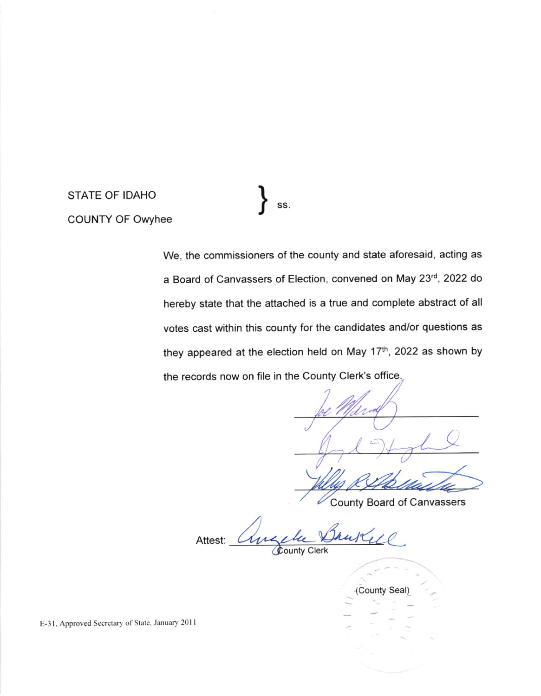STATE OF IDAHO COUNTY OF Owyhee

SS.  $\mathsf{J}$ 

We, the commissioners of the county and state aforesaid, acting as a Board of Canvassers of Election, convened on May 23rd, 2022 do hereby state that the attached is a true and complete abstract of all votes cast within this county for the candidates and/or questions as they appeared at the election held on May 17<sup>th</sup>, 2022 as shown by the records now on file in the County Clerk's office.

County Board of Canvassers

Attest: **County Clerk** 

(County Seal)

E-31, Approved Secretary of State, January 2011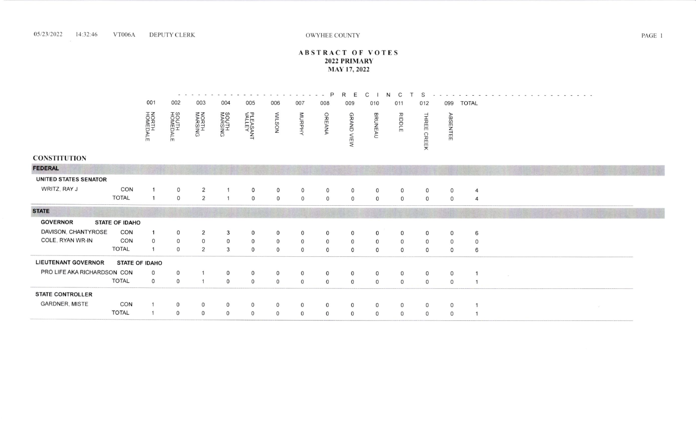#### OWYHEE COLNTY

## ABSTRACT OF VOTES PRIMARY MAY 17. 2022

PRECINC  $\frac{1}{2} \left( \frac{1}{2} \right) \frac{1}{2} \left( \frac{1}{2} \right)$  $\sigma_{\rm c}$  ,  $\sigma_{\rm c}$  ,  $\sigma$  $\sim$  $\alpha\rightarrow\infty$  .  $\sim$   $\sim$   $\sim$  $\mathcal{M} \rightarrow \mathcal{M}$ 001 002 003 004 005 006 007 <sup>008</sup> 010 011 012 099 TOTAL t a,) ooz(a NOME<br>OR<br>NOME N<br>Rex<br>S  $\leqslant$ o n o n THREE CREE PLEA<br>PLEA RIDDI BRUNE) **MORPHY** ser<br>S @ a<br>R  $\frac{1}{2}$ ENTEI fr \_-r or o z z  $\bar{\mathsf{S}}$ z --l  $\overline{\Omega}$ C m m e

### CONSTITUTION

| <b>FEDERAL</b>              |                       |              |              |                |          |              |              |                |              |              |              |              |             |              |   |  |
|-----------------------------|-----------------------|--------------|--------------|----------------|----------|--------------|--------------|----------------|--------------|--------------|--------------|--------------|-------------|--------------|---|--|
| UNITED STATES SENATOR       |                       |              |              |                |          |              |              |                |              |              |              |              |             |              |   |  |
| WRITZ, RAY J                | CON                   |              | $\circ$      | 2              |          | $\circ$      | 0            | $\circ$        | $\circ$      | $\circ$      | $\Omega$     | $\circ$      | $\mathbf 0$ | $\circ$      | 4 |  |
|                             | <b>TOTAL</b>          |              | $\mathbf 0$  | 2              |          | $\circ$      | $\circ$      | $\mathsf{O}$   | $\mathbf{0}$ | $\mathbf 0$  | $\Omega$     | $\mathbf{O}$ | $\Omega$    | $\Omega$     | 4 |  |
| <b>STATE</b>                |                       |              |              |                |          |              |              |                |              |              |              |              |             |              |   |  |
| <b>GOVERNOR</b>             | <b>STATE OF IDAHO</b> |              |              |                |          |              |              |                |              |              |              |              |             |              |   |  |
| DAVISON, CHANTYROSE         | CON                   |              | $\Omega$     | 2              | 3        | $\mathsf{O}$ | $\mathsf{o}$ | 0              |              | O            | $\Omega$     | $\circ$      | 0           | $\mathbf{O}$ | 6 |  |
| COLE, RYAN WR-IN            | CON                   | $\Omega$     | $\Omega$     | $\overline{0}$ | 0        | $\mathsf{O}$ | $\mathbf{O}$ | $\overline{0}$ | $\mathbf{O}$ | $\mathsf{O}$ | $\Omega$     | $\mathsf{O}$ | $\Omega$    | $\circ$      |   |  |
|                             | <b>TOTAL</b>          |              | $\Omega$     | 2              | 3        | $\mathsf{O}$ | $\Omega$     | $\mathsf{O}$   | $\Omega$     | $\mathsf{O}$ | $\Omega$     | $\circ$      | $\Omega$    | $\Omega$     | 6 |  |
| <b>LIEUTENANT GOVERNOR</b>  | <b>STATE OF IDAHO</b> |              |              |                |          |              |              |                |              |              |              |              |             |              |   |  |
| PRO LIFE AKA RICHARDSON CON |                       | $\mathbf{0}$ | $\circ$      |                | 0        | $\circ$      | $\mathsf{O}$ | $\mathsf{o}$   | $\circ$      | $\mathsf{o}$ | $\mathsf{O}$ | $\circ$      | $\mathbf 0$ | $\circ$      |   |  |
|                             | <b>TOTAL</b>          | $\mathbf{0}$ | $\circ$      | $\mathbf{1}$   | $\Omega$ | $\circ$      | $\circ$      | $\circ$        | $\Omega$     | $\circ$      | $\Omega$     | $\circ$      | $\Omega$    | $\circ$      |   |  |
| <b>STATE CONTROLLER</b>     |                       |              |              |                |          |              |              |                |              |              |              |              |             |              |   |  |
| <b>GARDNER, MISTE</b>       | CON                   |              | $\circ$      | $\circ$        | $\circ$  | 0            | 0            | $\circ$        | $\circ$      | $\circ$      | $\circ$      | $\circ$      | $\circ$     | $\circ$      |   |  |
|                             | <b>TOTAL</b>          |              | $\mathsf{O}$ | $\circ$        | 0        | 0            | $\circ$      | $\mathsf{O}$   | $\circ$      | $\circ$      | $\circ$      | $\circ$      | $\Omega$    | $\Omega$     |   |  |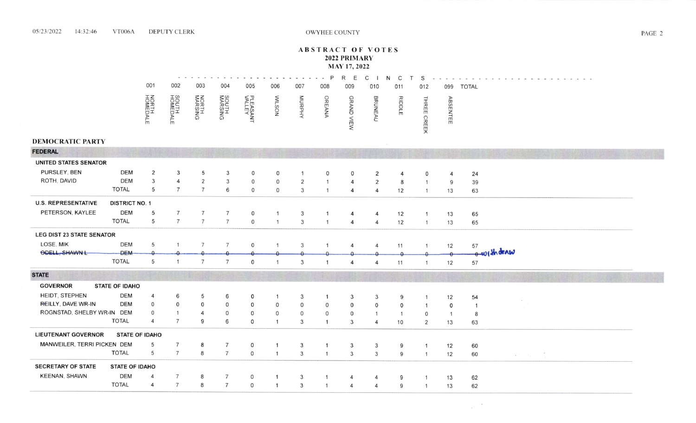#### 05/23/2022 14:32:46 **VT006A DEPUTY CLERK**

# **ABSTRACT OF VOTES** 2022 PRIMARY **MAY 17, 2022**

|                                  |                          |                   |                     |                                  |                          |                              |                  |                                | P              | R<br>E         | C                                |                |                |                |              |                |
|----------------------------------|--------------------------|-------------------|---------------------|----------------------------------|--------------------------|------------------------------|------------------|--------------------------------|----------------|----------------|----------------------------------|----------------|----------------|----------------|--------------|----------------|
|                                  |                          | 001               | 002                 | 003                              | 004                      | 005                          | 006              | 007                            | 008            | 009            | 010                              | 011            | 012            | 099            | <b>TOTAL</b> |                |
| <b>DEMOCRATIC PARTY</b>          |                          | NORTH<br>HOMEDALE | SOUTH<br>HOMEDALE   | <b>NORTH<br/>MARSING</b>         | <b>SOUTH<br/>MARSING</b> | PLEASANT<br>VALLEY           | <b>MILSON</b>    | MURPHY                         | OREANA         | GRAND VIEW     | <b>BRUNEAU</b>                   | RIDDLE         | THREE CREEK    | ABSENTEE       |              |                |
| <b>FEDERAL</b>                   |                          |                   |                     |                                  |                          |                              |                  |                                |                |                |                                  |                |                |                |              |                |
|                                  |                          |                   |                     |                                  |                          |                              |                  |                                |                |                |                                  |                |                |                |              |                |
| <b>UNITED STATES SENATOR</b>     |                          |                   |                     |                                  |                          |                              |                  |                                |                |                |                                  |                |                |                |              |                |
| PURSLEY, BEN<br>ROTH, DAVID      | <b>DEM</b><br><b>DEM</b> | 2                 | 3                   | 5                                | 3                        | 0                            | 0                |                                | $\mathbf{0}$   | $\Omega$       | 2                                |                |                |                | 24           |                |
|                                  | <b>TOTAL</b>             | 3<br>5            | 4<br>$\overline{7}$ | $\overline{2}$<br>$\overline{7}$ | 3<br>6                   | $\mathsf{O}$<br>$\mathsf{O}$ | 0<br>$\mathbf 0$ | $\overline{2}$<br>$\mathbf{3}$ | $\overline{1}$ | 4<br>4         | $\overline{c}$<br>$\overline{4}$ | 8              |                | 9              | 39           |                |
|                                  |                          |                   |                     |                                  |                          |                              |                  |                                |                |                |                                  | 12             | $\mathbf{1}$   | 13             | 63           |                |
| <b>U.S. REPRESENTATIVE</b>       | <b>DISTRICT NO. 1</b>    |                   |                     |                                  |                          |                              |                  |                                |                |                |                                  |                |                |                |              |                |
| PETERSON, KAYLEE                 | <b>DEM</b>               | 5                 | 7                   | $\overline{7}$                   | 7                        | 0                            |                  | $\mathbf{3}$                   |                | 4              | 4                                | 12             | $\mathbf{1}$   | 13             | 65           |                |
|                                  | <b>TOTAL</b>             | 5                 | $\overline{7}$      | $\overline{7}$                   | $\overline{7}$           | $\circ$                      | $\mathbf{1}$     | $\mathbf{3}$                   | $\mathbf{1}$   | 4              | $\boldsymbol{4}$                 | 12             | $\mathbf{1}$   | 13             | 65           |                |
| <b>LEG DIST 23 STATE SENATOR</b> |                          |                   |                     |                                  |                          |                              |                  |                                |                |                |                                  |                |                |                |              |                |
| LOSE, MIK                        | <b>DEM</b>               | 5                 | $\overline{1}$      | $\overline{7}$                   | $\overline{7}$           | $\mathsf{O}$                 | $\mathbf{1}$     | 3                              |                | $\overline{4}$ | $\overline{4}$                   | 11             | $\mathbf{1}$   | 12             | 57           |                |
| ODELL, SHAWN L                   | <b>DEM</b>               |                   |                     |                                  |                          |                              |                  |                                |                |                |                                  |                |                |                |              | 0 withdraw     |
|                                  | <b>TOTAL</b>             | 5                 |                     | $\overline{7}$                   | $\overline{7}$           | $\mathsf{O}$                 | $\mathbf{1}$     | $\mathbf{3}$                   |                | 4              | 4                                | 11             |                | 12             | 57           |                |
| <b>STATE</b>                     |                          |                   |                     |                                  |                          |                              |                  |                                |                |                |                                  |                |                |                |              |                |
| <b>GOVERNOR</b>                  | <b>STATE OF IDAHO</b>    |                   |                     |                                  |                          |                              |                  |                                |                |                |                                  |                |                |                |              |                |
| HEIDT, STEPHEN                   | <b>DEM</b>               | $\overline{4}$    | 6                   | 5                                | 6                        | 0                            |                  | 3                              |                | 3              | 3                                | 9              |                | 12             | 54           |                |
| REILLY, DAVE WR-IN               | <b>DEM</b>               | $\mathsf{O}$      | 0                   | 0                                | $\mathsf{o}$             | O                            | 0                | $\mathbf 0$                    | 0              | $\mathbf 0$    | 0                                | $\mathbf 0$    | $\mathbf{1}$   | $\circ$        | $\mathbf{1}$ |                |
| ROGNSTAD, SHELBY WR-IN DEM       |                          | $\overline{0}$    | $\mathbf{1}$        | 4                                | $\mathbf 0$              | 0                            | $\mathbf 0$      | $\mathsf{O}$                   | $\mathbf 0$    | $\mathsf{O}$   |                                  | $\overline{1}$ | 0              | $\overline{1}$ | 8            |                |
|                                  | <b>TOTAL</b>             | $\overline{4}$    | $\overline{7}$      | 9                                | 6                        | 0                            | $\mathbf{1}$     | $\mathbf{3}$                   | $\mathbf{1}$   | $\mathbf{3}$   | 4                                | 10             | $\overline{2}$ | 13             | 63           |                |
| <b>LIEUTENANT GOVERNOR</b>       | <b>STATE OF IDAHO</b>    |                   |                     |                                  |                          |                              |                  |                                |                |                |                                  |                |                |                |              |                |
| MANWEILER, TERRI PICKEN DEM      |                          | 5                 | $\overline{7}$      | 8                                | $\overline{7}$           | O                            | $\overline{1}$   | 3                              | $\mathbf{1}$   | 3              | 3                                | 9              | $\overline{1}$ | 12             | 60           |                |
|                                  | <b>TOTAL</b>             | 5                 | $7\overline{ }$     | 8                                | $\overline{7}$           | 0                            | $\mathbf{1}$     | $\mathbf{3}$                   | $\mathbf{1}$   | $\mathbf{3}$   | 3                                | 9              | $\overline{1}$ | 12             | 60           | Report Follows |
| <b>SECRETARY OF STATE</b>        | <b>STATE OF IDAHO</b>    |                   |                     |                                  |                          |                              |                  |                                |                |                |                                  |                |                |                |              |                |
| <b>KEENAN, SHAWN</b>             | <b>DEM</b>               | $\overline{4}$    | $\overline{7}$      | 8                                | $\overline{7}$           | 0                            |                  | 3                              |                | 4              |                                  | 9              | $\mathbf{1}$   | 13             | 62           |                |
|                                  | <b>TOTAL</b>             | $\overline{4}$    | $\overline{7}$      | 8                                | $\overline{7}$           | 0                            | $\mathbf{1}$     | $\mathbf{3}$                   |                | 4              | 4                                | 9              | $\overline{1}$ | 13             | 62           |                |

 $\mathbf{r}^{(1)}=\frac{\mathbf{r}^{(1)}}{\mathbf{r}^{(1)}}$ 

PAGE 2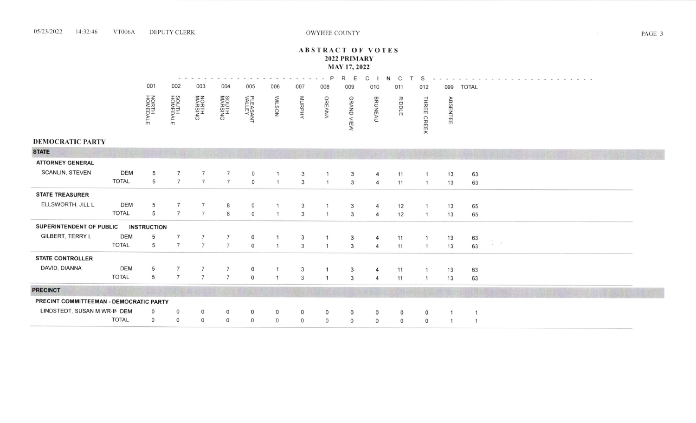#### 05/23/2022 14:32:46 **VT006A DEPUTY CLERK**

# **ABSTRACT OF VOTES** 2022 PRIMARY MAY 17, 2022

|                                         |              |                    |                   |                          |                          |                    |                |               |                | R          |                  |             |              |          |                        |  |
|-----------------------------------------|--------------|--------------------|-------------------|--------------------------|--------------------------|--------------------|----------------|---------------|----------------|------------|------------------|-------------|--------------|----------|------------------------|--|
|                                         |              | 001                | 002               | 003                      | 004                      | 005                | 006            | 007           | 008            | 009        | 010              | 011         | 012          | 099      | <b>TOTAL</b>           |  |
|                                         |              | NORTH<br>HOMEDALE  | SOUTH<br>HOMEDALE | <b>NORTH<br/>MARSING</b> | <b>SOUTH<br/>MARSING</b> | PLEASANT<br>VALLEY | <b>MUSON</b>   | <b>MURPHY</b> | OREANA         | GRAND VIEW | <b>BRUNEAU</b>   | RIDDLE      | THREE        | ABSENTEE |                        |  |
|                                         |              |                    |                   |                          |                          |                    |                |               |                |            |                  |             | <b>CREEK</b> |          |                        |  |
| <b>DEMOCRATIC PARTY</b>                 |              |                    |                   |                          |                          |                    |                |               |                |            |                  |             |              |          |                        |  |
| <b>STATE</b>                            |              |                    |                   |                          |                          |                    |                |               |                |            |                  |             |              |          |                        |  |
| <b>ATTORNEY GENERAL</b>                 |              |                    |                   |                          |                          |                    |                |               |                |            |                  |             |              |          |                        |  |
| <b>SCANLIN, STEVEN</b>                  | <b>DEM</b>   | 5                  |                   | $\overline{7}$           |                          | $\mathsf{O}$       |                | 3             |                | 3          | 4                | 11          |              | 13       | 63                     |  |
|                                         | <b>TOTAL</b> | 5                  | $\overline{7}$    | $7\overline{ }$          | $\overline{7}$           | $\circ$            | $\overline{1}$ | 3             | $\overline{1}$ | 3          | $\overline{4}$   | 11          |              | 13       | 63                     |  |
| <b>STATE TREASURER</b>                  |              |                    |                   |                          |                          |                    |                |               |                |            |                  |             |              |          |                        |  |
| ELLSWORTH, JILL L                       | <b>DEM</b>   | 5                  | $\overline{7}$    | $\overline{7}$           | 8                        | $\mathsf{O}$       |                | 3             |                | 3          |                  | 12          |              | 13       | 65                     |  |
|                                         | <b>TOTAL</b> | 5                  | $\overline{7}$    | $\overline{7}$           | 8                        | $\overline{O}$     |                | 3             |                | 3          | $\Delta$         | 12          |              | 13       | 65                     |  |
| SUPERINTENDENT OF PUBLIC                |              | <b>INSTRUCTION</b> |                   |                          |                          |                    |                |               |                |            |                  |             |              |          |                        |  |
| <b>GILBERT, TERRY L</b>                 | <b>DEM</b>   | 5                  | $\overline{7}$    | $\overline{7}$           | $\overline{7}$           | $\mathsf{o}$       |                | 3             |                | 3          | $\boldsymbol{A}$ | 11          |              | 13       | 63                     |  |
|                                         | <b>TOTAL</b> | 5                  | $\overline{7}$    | $\overline{7}$           | $\overline{7}$           | $\overline{O}$     |                | 3             | - 1            | 3          | $\overline{4}$   | 11          |              | 13       | $\zeta = \kappa$<br>63 |  |
| <b>STATE CONTROLLER</b>                 |              |                    |                   |                          |                          |                    |                |               |                |            |                  |             |              |          |                        |  |
| DAVID, DIANNA                           | <b>DEM</b>   | 5                  | $\overline{7}$    |                          |                          | $\mathbf 0$        |                | 3             |                | 3          | $\overline{4}$   | 11          |              | 13       | 63                     |  |
|                                         | <b>TOTAL</b> | $5\phantom{.0}$    | $\overline{7}$    | $\overline{7}$           | $\overline{7}$           | $\mathsf{O}$       |                | 3             | $\overline{1}$ | 3          | $\overline{4}$   | 11          |              | 13       | 63                     |  |
| <b>PRECINCT</b>                         |              |                    |                   |                          |                          |                    |                |               |                |            |                  |             |              |          |                        |  |
| PRECINT COMMITTEEMAN - DEMOCRATIC PARTY |              |                    |                   |                          |                          |                    |                |               |                |            |                  |             |              |          |                        |  |
| LINDSTEDT, SUSAN M WR-IN DEM            |              | 0                  | 0                 | $\circ$                  | 0                        | 0                  | 0              | 0             | 0              | $\circ$    | 0                | 0           | 0            |          |                        |  |
|                                         | <b>TOTAL</b> | $\circ$            | 0                 | $\Omega$                 | $\circ$                  | $\circ$            | $\circ$        | $\mathsf{O}$  | $\Omega$       | $\circ$    | $\Omega$         | $\mathbf 0$ | 0            |          |                        |  |